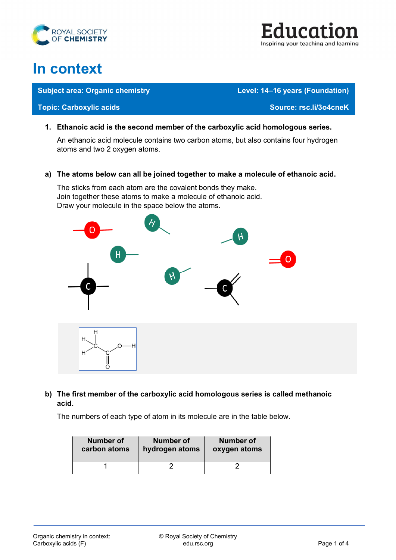



## **In context**

**Subject area: Organic chemistry Level: 14–16 years (Foundation)**

**Topic: Carboxylic acids Source: rsc.li/3o4cneK**

**1. Ethanoic acid is the second member of the carboxylic acid homologous series.**

An ethanoic acid molecule contains two carbon atoms, but also contains four hydrogen atoms and two 2 oxygen atoms.

**a) The atoms below can all be joined together to make a molecule of ethanoic acid.**

The sticks from each atom are the covalent bonds they make. Join together these atoms to make a molecule of ethanoic acid. Draw your molecule in the space below the atoms.



**b) The first member of the carboxylic acid homologous series is called methanoic acid.**

The numbers of each type of atom in its molecule are in the table below.

| Number of    | Number of      | Number of    |
|--------------|----------------|--------------|
| carbon atoms | hydrogen atoms | oxygen atoms |
|              |                |              |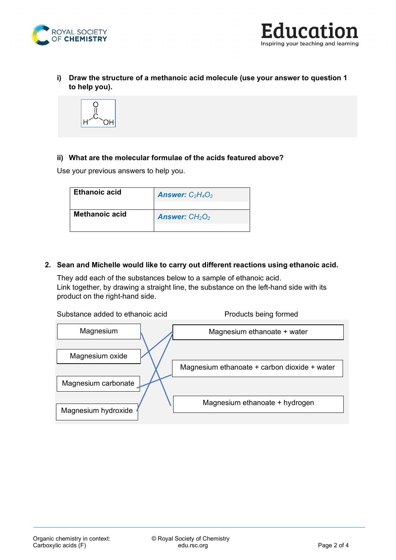



**i) Draw the structure of a methanoic acid molecule (use your answer to question 1 to help you).**



## **ii) What are the molecular formulae of the acids featured above?**

Use your previous answers to help you.

| <b>Ethanoic acid</b> | <b>Answer:</b> $C_2H_4O_2$ |
|----------------------|----------------------------|
| Methanoic acid       | <b>Answer:</b> $CH2O2$     |

**2. Sean and Michelle would like to carry out different reactions using ethanoic acid.**

They add each of the substances below to a sample of ethanoic acid. Link together, by drawing a straight line, the substance on the left-hand side with its product on the right-hand side.

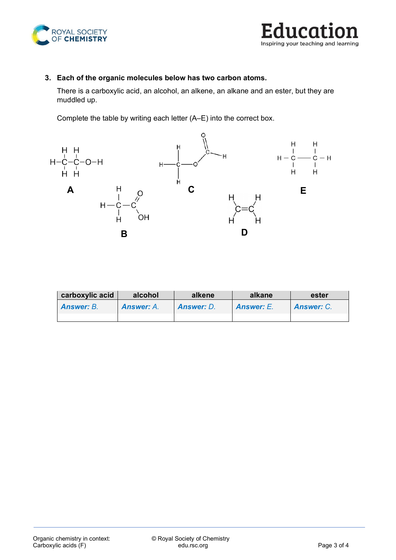



## **3. Each of the organic molecules below has two carbon atoms.**

There is a carboxylic acid, an alcohol, an alkene, an alkane and an ester, but they are muddled up.

Complete the table by writing each letter (A–E) into the correct box.



| carboxylic acid   | alcohol           | alkene            | alkane            | ester             |
|-------------------|-------------------|-------------------|-------------------|-------------------|
| <b>Answer: B.</b> | <b>Answer: A.</b> | <b>Answer:</b> D. | <b>Answer:</b> E. | <b>Answer: C.</b> |
|                   |                   |                   |                   |                   |